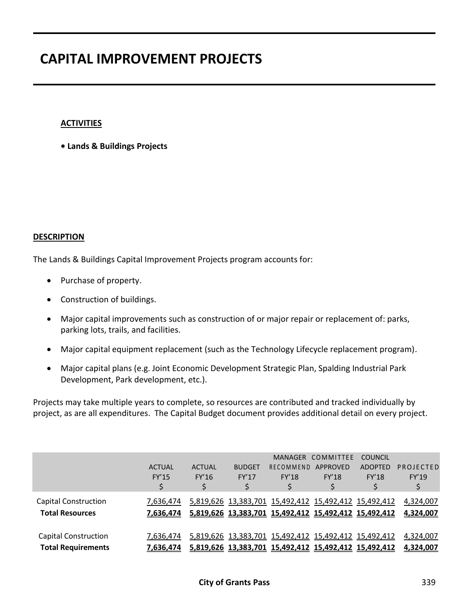### **ACTIVITIES**

**Lands & Buildings Projects**

#### **DESCRIPTION**

The Lands & Buildings Capital Improvement Projects program accounts for:

- Purchase of property.
- Construction of buildings.
- Major capital improvements such as construction of or major repair or replacement of: parks, parking lots, trails, and facilities.
- Major capital equipment replacement (such as the Technology Lifecycle replacement program).
- Major capital plans (e.g. Joint Economic Development Strategic Plan, Spalding Industrial Park Development, Park development, etc.).

Projects may take multiple years to complete, so resources are contributed and tracked individually by project, as are all expenditures. The Capital Budget document provides additional detail on every project.

|                             |               |               |               |              | MANAGER COMMITTEE                                     | <b>COUNCIL</b> |           |
|-----------------------------|---------------|---------------|---------------|--------------|-------------------------------------------------------|----------------|-----------|
|                             | <b>ACTUAL</b> | <b>ACTUAL</b> | <b>BUDGET</b> | RECOMMEND    | APPROVED                                              | <b>ADOPTED</b> | PROJECTED |
|                             | <b>FY'15</b>  | FY'16         | FY'17         | <b>FY'18</b> | FY'18                                                 | <b>FY'18</b>   | FY'19     |
|                             | \$            |               |               |              |                                                       |                |           |
| Capital Construction        | 7,636,474     |               |               |              | 5,819,626 13,383,701 15,492,412 15,492,412 15,492,412 |                | 4,324,007 |
| <b>Total Resources</b>      | 7,636,474     |               |               |              | 5,819,626 13,383,701 15,492,412 15,492,412 15,492,412 |                | 4,324,007 |
|                             |               |               |               |              |                                                       |                |           |
| <b>Capital Construction</b> | 7,636,474     |               |               |              | 5,819,626 13,383,701 15,492,412 15,492,412 15,492,412 |                | 4,324,007 |
| <b>Total Requirements</b>   | 7,636,474     |               |               |              | 5,819,626 13,383,701 15,492,412 15,492,412 15,492,412 |                | 4,324,007 |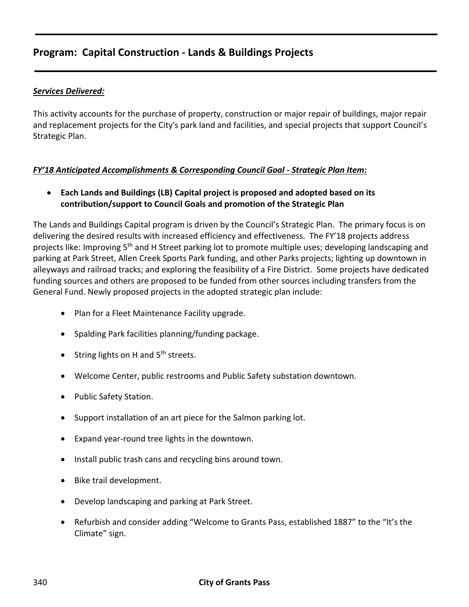### *Services Delivered:*

This activity accounts for the purchase of property, construction or major repair of buildings, major repair and replacement projects for the City's park land and facilities, and special projects that support Council's Strategic Plan.

### *FY'18 Anticipated Accomplishments & Corresponding Council Goal - Strategic Plan Item:*

 **Each Lands and Buildings (LB) Capital project is proposed and adopted based on its contribution/support to Council Goals and promotion of the Strategic Plan**

The Lands and Buildings Capital program is driven by the Council's Strategic Plan. The primary focus is on delivering the desired results with increased efficiency and effectiveness. The FY'18 projects address projects like: Improving 5<sup>th</sup> and H Street parking lot to promote multiple uses; developing landscaping and parking at Park Street, Allen Creek Sports Park funding, and other Parks projects; lighting up downtown in alleyways and railroad tracks; and exploring the feasibility of a Fire District. Some projects have dedicated funding sources and others are proposed to be funded from other sources including transfers from the General Fund. Newly proposed projects in the adopted strategic plan include:

- Plan for a Fleet Maintenance Facility upgrade.
- Spalding Park facilities planning/funding package.
- String lights on H and 5<sup>th</sup> streets.
- Welcome Center, public restrooms and Public Safety substation downtown.
- Public Safety Station.
- Support installation of an art piece for the Salmon parking lot.
- Expand year-round tree lights in the downtown.
- Install public trash cans and recycling bins around town.
- Bike trail development.
- Develop landscaping and parking at Park Street.
- Refurbish and consider adding "Welcome to Grants Pass, established 1887" to the "It's the Climate" sign.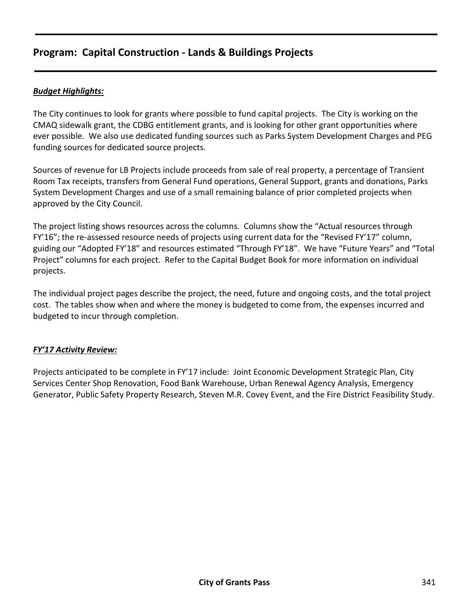### *Budget Highlights:*

The City continues to look for grants where possible to fund capital projects. The City is working on the CMAQ sidewalk grant, the CDBG entitlement grants, and is looking for other grant opportunities where ever possible. We also use dedicated funding sources such as Parks System Development Charges and PEG funding sources for dedicated source projects.

Sources of revenue for LB Projects include proceeds from sale of real property, a percentage of Transient Room Tax receipts, transfers from General Fund operations, General Support, grants and donations, Parks System Development Charges and use of a small remaining balance of prior completed projects when approved by the City Council.

The project listing shows resources across the columns. Columns show the "Actual resources through FY'16"; the re-assessed resource needs of projects using current data for the "Revised FY'17" column, guiding our "Adopted FY'18" and resources estimated "Through FY'18". We have "Future Years" and "Total Project" columns for each project. Refer to the Capital Budget Book for more information on individual projects.

The individual project pages describe the project, the need, future and ongoing costs, and the total project cost. The tables show when and where the money is budgeted to come from, the expenses incurred and budgeted to incur through completion.

### *FY'17 Activity Review:*

Projects anticipated to be complete in FY'17 include: Joint Economic Development Strategic Plan, City Services Center Shop Renovation, Food Bank Warehouse, Urban Renewal Agency Analysis, Emergency Generator, Public Safety Property Research, Steven M.R. Covey Event, and the Fire District Feasibility Study.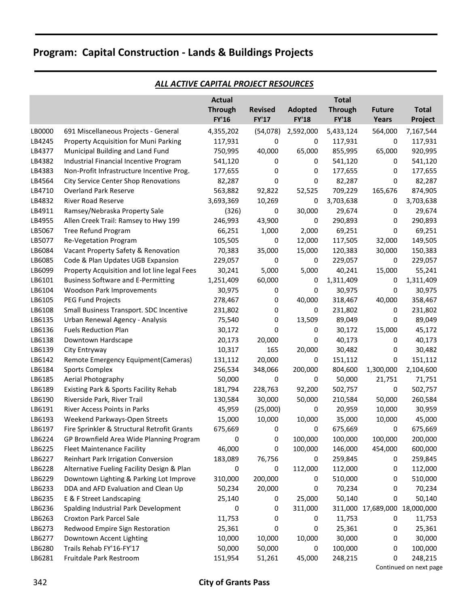|        |                                              | <b>Actual</b>  |                |              | <b>Total</b>     |                    |              |
|--------|----------------------------------------------|----------------|----------------|--------------|------------------|--------------------|--------------|
|        |                                              | <b>Through</b> | <b>Revised</b> | Adopted      | <b>Through</b>   | <b>Future</b>      | <b>Total</b> |
|        |                                              | <b>FY'16</b>   | <b>FY'17</b>   | <b>FY'18</b> | <b>FY'18</b>     | <b>Years</b>       | Project      |
| LB0000 | 691 Miscellaneous Projects - General         | 4,355,202      | (54,078)       | 2,592,000    | 5,433,124        | 564,000            | 7,167,544    |
| LB4245 | Property Acquisition for Muni Parking        | 117,931        | 0              | 0            | 117,931          | 0                  | 117,931      |
| LB4377 | Municipal Building and Land Fund             | 750,995        | 40,000         | 65,000       | 855,995          | 65,000             | 920,995      |
| LB4382 | Industrial Financial Incentive Program       | 541,120        | 0              | 0            | 541,120          | 0                  | 541,120      |
| LB4383 | Non-Profit Infrastructure Incentive Prog.    | 177,655        | 0              | 0            | 177,655          | 0                  | 177,655      |
| LB4564 | <b>City Service Center Shop Renovations</b>  | 82,287         | 0              | 0            | 82,287           | 0                  | 82,287       |
| LB4710 | <b>Overland Park Reserve</b>                 | 563,882        | 92,822         | 52,525       | 709,229          | 165,676            | 874,905      |
| LB4832 | <b>River Road Reserve</b>                    | 3,693,369      | 10,269         | 0            | 3,703,638        | 0                  | 3,703,638    |
| LB4911 | Ramsey/Nebraska Property Sale                | (326)          | 0              | 30,000       | 29,674           | 0                  | 29,674       |
| LB4955 | Allen Creek Trail: Ramsey to Hwy 199         | 246,993        | 43,900         | 0            | 290,893          | 0                  | 290,893      |
| LB5067 | Tree Refund Program                          | 66,251         | 1,000          | 2,000        | 69,251           | 0                  | 69,251       |
| LB5077 | Re-Vegetation Program                        | 105,505        | 0              | 12,000       | 117,505          | 32,000             | 149,505      |
| LB6084 | Vacant Property Safety & Renovation          | 70,383         | 35,000         | 15,000       | 120,383          | 30,000             | 150,383      |
| LB6085 | Code & Plan Updates UGB Expansion            | 229,057        | 0              | 0            | 229,057          | 0                  | 229,057      |
| LB6099 | Property Acquisition and lot line legal Fees | 30,241         | 5,000          | 5,000        | 40,241           | 15,000             | 55,241       |
| LB6101 | <b>Business Software and E-Permitting</b>    | 1,251,409      | 60,000         | 0            | 1,311,409        | 0                  | 1,311,409    |
| LB6104 | Woodson Park Improvements                    | 30,975         | 0              | 0            | 30,975           | 0                  | 30,975       |
| LB6105 | PEG Fund Projects                            | 278,467        | 0              | 40,000       | 318,467          | 40,000             | 358,467      |
| LB6108 | Small Business Transport. SDC Incentive      | 231,802        | 0              | 0            | 231,802          | 0                  | 231,802      |
| LB6135 | Urban Renewal Agency - Analysis              | 75,540         | 0              | 13,509       | 89,049           | 0                  | 89,049       |
| LB6136 | <b>Fuels Reduction Plan</b>                  | 30,172         | 0              | 0            | 30,172           | 15,000             | 45,172       |
| LB6138 | Downtown Hardscape                           | 20,173         | 20,000         | 0            | 40,173           | 0                  | 40,173       |
| LB6139 | City Entryway                                | 10,317         | 165            | 20,000       | 30,482           | 0                  | 30,482       |
| LB6142 | Remote Emergency Equipment(Cameras)          | 131,112        | 20,000         | 0            | 151,112          | 0                  | 151,112      |
| LB6184 | <b>Sports Complex</b>                        | 256,534        | 348,066        | 200,000      | 804,600          | 1,300,000          | 2,104,600    |
| LB6185 | Aerial Photography                           | 50,000         | 0              | 0            | 50,000           | 21,751             | 71,751       |
| LB6189 | Existing Park & Sports Facility Rehab        | 181,794        | 228,763        | 92,200       | 502,757          | 0                  | 502,757      |
| LB6190 | Riverside Park, River Trail                  | 130,584        | 30,000         | 50,000       | 210,584          | 50,000             | 260,584      |
| LB6191 | River Access Points in Parks                 | 45,959         | (25,000)       | 0            | 20,959           | 10,000             | 30,959       |
| LB6193 | Weekend Parkways-Open Streets                | 15,000         | 10,000         | 10,000       | 35,000           | 10,000             | 45,000       |
| LB6197 | Fire Sprinkler & Structural Retrofit Grants  | 675,669        | 0              | 0            | 675,669          | 0                  | 675,669      |
| LB6224 | GP Brownfield Area Wide Planning Program     | 0              | 0              | 100,000      | 100,000          | 100,000            | 200,000      |
| LB6225 | <b>Fleet Maintenance Facility</b>            | 46,000         | 0              | 100,000      | 146,000          | 454,000            | 600,000      |
| LB6227 | Reinhart Park Irrigation Conversion          | 183,089        | 76,756         | 0            | 259,845          | 0                  | 259,845      |
| LB6228 | Alternative Fueling Facility Design & Plan   | 0              | 0              | 112,000      | 112,000          | 0                  | 112,000      |
| LB6229 | Downtown Lighting & Parking Lot Improve      | 310,000        | 200,000        | 0            | 510,000          | 0                  | 510,000      |
| LB6233 | DDA and AFD Evaluation and Clean Up          | 50,234         | 20,000         | 0            | 70,234           | 0                  | 70,234       |
| LB6235 | E & F Street Landscaping                     | 25,140         | 0              | 25,000       | 50,140           | 0                  | 50,140       |
| LB6236 | Spalding Industrial Park Development         | 0              | 0              | 311,000      |                  | 311,000 17,689,000 | 18,000,000   |
|        | Croxton Park Parcel Sale                     |                |                |              |                  |                    |              |
| LB6263 | Redwood Empire Sign Restoration              | 11,753         | 0              | 0            | 11,753<br>25,361 | 0                  | 11,753       |
| LB6273 |                                              | 25,361         | 0              | 0            |                  | 0                  | 25,361       |
| LB6277 | Downtown Accent Lighting                     | 10,000         | 10,000         | 10,000       | 30,000           | 0                  | 30,000       |
| LB6280 | Trails Rehab FY'16-FY'17                     | 50,000         | 50,000         | 0            | 100,000          | 0                  | 100,000      |
| LB6281 | Fruitdale Park Restroom                      | 151,954        | 51,261         | 45,000       | 248,215          | 0                  | 248,215      |

#### *ALL ACTIVE CAPITAL PROJECT RESOURCES*

Continued on next page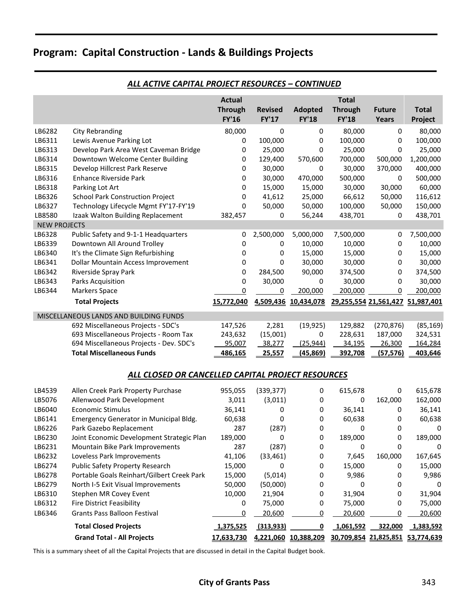|                     |                                         | <b>Actual</b>  |                |                | <b>Total</b>   |                                  |              |
|---------------------|-----------------------------------------|----------------|----------------|----------------|----------------|----------------------------------|--------------|
|                     |                                         | <b>Through</b> | <b>Revised</b> | <b>Adopted</b> | <b>Through</b> | <b>Future</b>                    | <b>Total</b> |
|                     |                                         | <b>FY'16</b>   | <b>FY'17</b>   | <b>FY'18</b>   | <b>FY'18</b>   | Years                            | Project      |
| LB6282              | City Rebranding                         | 80,000         | 0              | 0              | 80.000         | 0                                | 80,000       |
| LB6311              | Lewis Avenue Parking Lot                | 0              | 100,000        | 0              | 100,000        | $\Omega$                         | 100,000      |
| LB6313              | Develop Park Area West Caveman Bridge   | 0              | 25,000         | 0              | 25,000         | 0                                | 25,000       |
| LB6314              | Downtown Welcome Center Building        | 0              | 129,400        | 570,600        | 700,000        | 500,000                          | 1,200,000    |
| LB6315              | Develop Hillcrest Park Reserve          | 0              | 30,000         | 0              | 30,000         | 370,000                          | 400,000      |
| LB6316              | Enhance Riverside Park                  | 0              | 30,000         | 470,000        | 500,000        | 0                                | 500,000      |
| LB6318              | Parking Lot Art                         | 0              | 15,000         | 15,000         | 30,000         | 30,000                           | 60,000       |
| LB6326              | <b>School Park Construction Project</b> | $\Omega$       | 41,612         | 25,000         | 66,612         | 50,000                           | 116,612      |
| LB6327              | Technology Lifecycle Mgmt FY'17-FY'19   | $\Omega$       | 50,000         | 50,000         | 100,000        | 50,000                           | 150,000      |
| LB8580              | Izaak Walton Building Replacement       | 382,457        | 0              | 56,244         | 438,701        | 0                                | 438,701      |
| <b>NEW PROJECTS</b> |                                         |                |                |                |                |                                  |              |
| LB6328              | Public Safety and 9-1-1 Headquarters    | 0              | 2,500,000      | 5,000,000      | 7,500,000      | 0                                | 7,500,000    |
| LB6339              | Downtown All Around Trolley             | 0              | 0              | 10,000         | 10,000         | 0                                | 10,000       |
| LB6340              | It's the Climate Sign Refurbishing      | 0              | 0              | 15,000         | 15,000         | 0                                | 15,000       |
| LB6341              | Dollar Mountain Access Improvement      | 0              | 0              | 30,000         | 30,000         | 0                                | 30,000       |
| LB6342              | Riverside Spray Park                    | 0              | 284,500        | 90,000         | 374,500        | 0                                | 374,500      |
| LB6343              | Parks Acquisition                       | 0              | 30,000         | 0              | 30,000         | 0                                | 30,000       |
| LB6344              | <b>Markers Space</b>                    | 0              | 0              | 200,000        | 200,000        | 0                                | 200,000      |
|                     | <b>Total Projects</b>                   | 15,772,040     | 4,509,436      | 10,434,078     |                | 29,255,554 21,561,427 51,987,401 |              |
|                     | MISCELLANEOUS LANDS AND BUILDING FUNDS  |                |                |                |                |                                  |              |
|                     | 692 Miscellaneous Projects - SDC's      | 147,526        | 2,281          | (19, 925)      | 129,882        | (270, 876)                       | (85, 169)    |
|                     | 693 Miscellaneous Projects - Room Tax   | 243,632        | (15,001)       | 0              | 228,631        | 187,000                          | 324,531      |
|                     | 694 Miscellaneous Projects - Dev. SDC's | 95,007         | 38,277         | (25, 944)      | 34,195         | 26,300                           | 164,284      |
|                     | <b>Total Miscellaneous Funds</b>        | 486,165        | 25,557         | (45, 869)      | 392,708        | (57, 576)                        | 403,646      |

### *ALL ACTIVE CAPITAL PROJECT RESOURCES – CONTINUED*

#### *ALL CLOSED OR CANCELLED CAPITAL PROJECT RESOURCES*

| LB6141 | Emergency Generator in Municipal Bldg.     | 60,638     | 0          | 0          | 60,638                | 0       | 60,638     |
|--------|--------------------------------------------|------------|------------|------------|-----------------------|---------|------------|
|        |                                            |            |            |            |                       |         |            |
| LB6226 | Park Gazebo Replacement                    | 287        | (287)      | 0          |                       | 0       |            |
| LB6230 | Joint Economic Development Strategic Plan  | 189,000    | 0          | 0          | 189,000               | 0       | 189,000    |
| LB6231 | Mountain Bike Park Improvements            | 287        | (287)      | 0          | 0                     | 0       | 0          |
| LB6232 | Loveless Park Improvements                 | 41,106     | (33, 461)  | 0          | 7,645                 | 160,000 | 167,645    |
| LB6274 | <b>Public Safety Property Research</b>     | 15,000     | 0          | 0          | 15,000                | 0       | 15,000     |
| LB6278 | Portable Goals Reinhart/Gilbert Creek Park | 15,000     | (5,014)    | 0          | 9,986                 | 0       | 9,986      |
| LB6279 | North I-5 Exit Visual Improvements         | 50,000     | (50,000)   | 0          | 0                     | 0       | n          |
| LB6310 | Stephen MR Covey Event                     | 10,000     | 21,904     | 0          | 31,904                | 0       | 31,904     |
| LB6312 | Fire District Feasibility                  | 0          | 75,000     | 0          | 75,000                | 0       | 75,000     |
| LB6346 | <b>Grants Pass Balloon Festival</b>        | 0          | 20,600     | 0          | 20,600                |         | 20,600     |
|        | <b>Total Closed Projects</b>               | 1,375,525  | (313, 933) |            | 1,061,592             | 322,000 | 1,383,592  |
|        | <b>Grand Total - All Projects</b>          | 17,633,730 | 4,221,060  | 10,388,209 | 30,709,854 21,825,851 |         | 53,774,639 |

This is a summary sheet of all the Capital Projects that are discussed in detail in the Capital Budget book.

### **City of Grants Pass** 343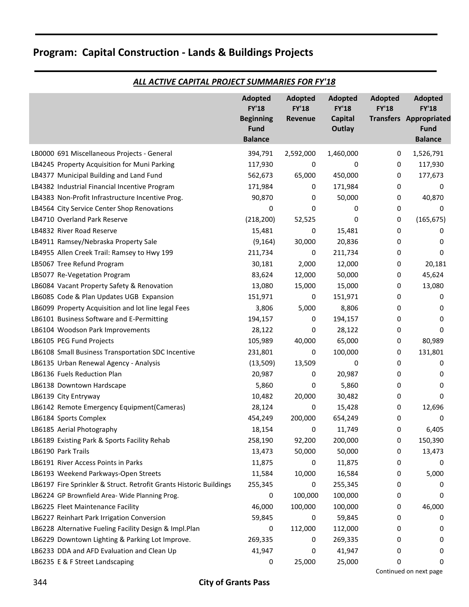|                                                                    | <b>Adopted</b><br><b>FY'18</b><br><b>Beginning</b><br><b>Fund</b><br><b>Balance</b> | Adopted<br><b>FY'18</b><br>Revenue | <b>Adopted</b><br><b>FY'18</b><br><b>Capital</b><br>Outlay | Adopted<br><b>FY'18</b> | <b>Adopted</b><br><b>FY'18</b><br><b>Transfers Appropriated</b><br><b>Fund</b><br><b>Balance</b> |
|--------------------------------------------------------------------|-------------------------------------------------------------------------------------|------------------------------------|------------------------------------------------------------|-------------------------|--------------------------------------------------------------------------------------------------|
| LB0000 691 Miscellaneous Projects - General                        | 394,791                                                                             | 2,592,000                          | 1,460,000                                                  | 0                       | 1,526,791                                                                                        |
| LB4245 Property Acquisition for Muni Parking                       | 117,930                                                                             | 0                                  | 0                                                          | 0                       | 117,930                                                                                          |
| LB4377 Municipal Building and Land Fund                            | 562,673                                                                             | 65,000                             | 450,000                                                    | 0                       | 177,673                                                                                          |
| LB4382 Industrial Financial Incentive Program                      | 171,984                                                                             | 0                                  | 171,984                                                    | 0                       | 0                                                                                                |
| LB4383 Non-Profit Infrastructure Incentive Prog.                   | 90,870                                                                              | 0                                  | 50,000                                                     | 0                       | 40,870                                                                                           |
| LB4564 City Service Center Shop Renovations                        | 0                                                                                   | 0                                  | 0                                                          | 0                       | 0                                                                                                |
| LB4710 Overland Park Reserve                                       | (218, 200)                                                                          | 52,525                             | 0                                                          | 0                       | (165, 675)                                                                                       |
| LB4832 River Road Reserve                                          | 15,481                                                                              | 0                                  | 15,481                                                     | 0                       | 0                                                                                                |
| LB4911 Ramsey/Nebraska Property Sale                               | (9, 164)                                                                            | 30,000                             | 20,836                                                     | 0                       | 0                                                                                                |
| LB4955 Allen Creek Trail: Ramsey to Hwy 199                        | 211,734                                                                             | 0                                  | 211,734                                                    | 0                       | 0                                                                                                |
| LB5067 Tree Refund Program                                         | 30,181                                                                              | 2,000                              | 12,000                                                     | 0                       | 20,181                                                                                           |
| LB5077 Re-Vegetation Program                                       | 83,624                                                                              | 12,000                             | 50,000                                                     | 0                       | 45,624                                                                                           |
| LB6084 Vacant Property Safety & Renovation                         | 13,080                                                                              | 15,000                             | 15,000                                                     | 0                       | 13,080                                                                                           |
| LB6085 Code & Plan Updates UGB Expansion                           | 151,971                                                                             | 0                                  | 151,971                                                    | 0                       | 0                                                                                                |
| LB6099 Property Acquisition and lot line legal Fees                | 3,806                                                                               | 5,000                              | 8,806                                                      | 0                       | 0                                                                                                |
| LB6101 Business Software and E-Permitting                          | 194,157                                                                             | 0                                  | 194,157                                                    | 0                       | 0                                                                                                |
| LB6104 Woodson Park Improvements                                   | 28,122                                                                              | 0                                  | 28,122                                                     | 0                       | 0                                                                                                |
| LB6105 PEG Fund Projects                                           | 105,989                                                                             | 40,000                             | 65,000                                                     | 0                       | 80,989                                                                                           |
| LB6108 Small Business Transportation SDC Incentive                 | 231,801                                                                             | 0                                  | 100,000                                                    | 0                       | 131,801                                                                                          |
| LB6135 Urban Renewal Agency - Analysis                             | (13,509)                                                                            | 13,509                             | 0                                                          | 0                       | 0                                                                                                |
| LB6136 Fuels Reduction Plan                                        | 20,987                                                                              | 0                                  | 20,987                                                     | 0                       | 0                                                                                                |
| LB6138 Downtown Hardscape                                          | 5,860                                                                               | 0                                  | 5,860                                                      | 0                       | 0                                                                                                |
| LB6139 City Entryway                                               | 10,482                                                                              | 20,000                             | 30,482                                                     | 0                       | 0                                                                                                |
| LB6142 Remote Emergency Equipment(Cameras)                         | 28,124                                                                              | 0                                  | 15,428                                                     | 0                       | 12,696                                                                                           |
| LB6184 Sports Complex                                              | 454,249                                                                             | 200,000                            | 654,249                                                    | 0                       | 0                                                                                                |
| LB6185 Aerial Photography                                          | 18,154                                                                              | 0                                  | 11,749                                                     | 0                       | 6,405                                                                                            |
| LB6189 Existing Park & Sports Facility Rehab                       | 258,190                                                                             | 92,200                             | 200,000                                                    | 0                       | 150,390                                                                                          |
| LB6190 Park Trails                                                 | 13,473                                                                              | 50,000                             | 50,000                                                     | 0                       | 13,473                                                                                           |
| LB6191 River Access Points in Parks                                | 11,875                                                                              | 0                                  | 11,875                                                     | 0                       | 0                                                                                                |
| LB6193 Weekend Parkways-Open Streets                               | 11,584                                                                              | 10,000                             | 16,584                                                     | 0                       | 5,000                                                                                            |
| LB6197 Fire Sprinkler & Struct. Retrofit Grants Historic Buildings | 255,345                                                                             | 0                                  | 255,345                                                    | 0                       | 0                                                                                                |
| LB6224 GP Brownfield Area-Wide Planning Prog.                      | 0                                                                                   | 100,000                            | 100,000                                                    | 0                       | 0                                                                                                |
| LB6225 Fleet Maintenance Facility                                  | 46,000                                                                              | 100,000                            | 100,000                                                    | 0                       | 46,000                                                                                           |
| LB6227 Reinhart Park Irrigation Conversion                         | 59,845                                                                              | 0                                  | 59,845                                                     | 0                       | 0                                                                                                |
| LB6228 Alternative Fueling Facility Design & Impl.Plan             | 0                                                                                   | 112,000                            | 112,000                                                    | 0                       | 0                                                                                                |
| LB6229 Downtown Lighting & Parking Lot Improve.                    | 269,335                                                                             | 0                                  | 269,335                                                    | 0                       | 0                                                                                                |
| LB6233 DDA and AFD Evaluation and Clean Up                         | 41,947                                                                              | 0                                  | 41,947                                                     | 0                       | 0                                                                                                |
| LB6235 E & F Street Landscaping                                    | 0                                                                                   | 25,000                             | 25,000                                                     | 0                       | 0                                                                                                |

### *ALL ACTIVE CAPITAL PROJECT SUMMARIES FOR FY'18*

Continued on next page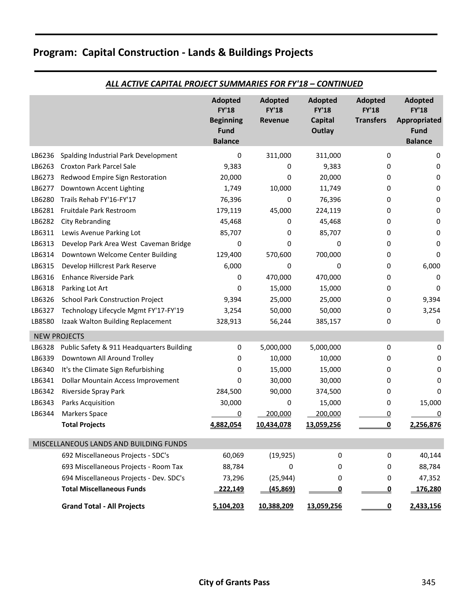|        |                                           | <b>Adopted</b><br><b>FY'18</b><br><b>Beginning</b><br><b>Fund</b><br><b>Balance</b> | <b>Adopted</b><br><b>FY'18</b><br>Revenue | <b>Adopted</b><br><b>FY'18</b><br><b>Capital</b><br>Outlay | <b>Adopted</b><br><b>FY'18</b><br><b>Transfers</b> | <b>Adopted</b><br><b>FY'18</b><br><b>Appropriated</b><br><b>Fund</b><br><b>Balance</b> |
|--------|-------------------------------------------|-------------------------------------------------------------------------------------|-------------------------------------------|------------------------------------------------------------|----------------------------------------------------|----------------------------------------------------------------------------------------|
| LB6236 | Spalding Industrial Park Development      | 0                                                                                   | 311,000                                   | 311,000                                                    | 0                                                  | 0                                                                                      |
| LB6263 | <b>Croxton Park Parcel Sale</b>           | 9,383                                                                               | 0                                         | 9,383                                                      | 0                                                  | 0                                                                                      |
| LB6273 | Redwood Empire Sign Restoration           | 20,000                                                                              | 0                                         | 20,000                                                     | 0                                                  | 0                                                                                      |
| LB6277 | Downtown Accent Lighting                  | 1,749                                                                               | 10,000                                    | 11,749                                                     | 0                                                  | 0                                                                                      |
| LB6280 | Trails Rehab FY'16-FY'17                  | 76,396                                                                              | 0                                         | 76,396                                                     | 0                                                  | 0                                                                                      |
| LB6281 | Fruitdale Park Restroom                   | 179,119                                                                             | 45,000                                    | 224,119                                                    | 0                                                  | 0                                                                                      |
| LB6282 | City Rebranding                           | 45,468                                                                              | 0                                         | 45,468                                                     | 0                                                  | 0                                                                                      |
| LB6311 | Lewis Avenue Parking Lot                  | 85,707                                                                              | 0                                         | 85,707                                                     | 0                                                  | 0                                                                                      |
| LB6313 | Develop Park Area West Caveman Bridge     | 0                                                                                   | 0                                         | 0                                                          | 0                                                  | 0                                                                                      |
| LB6314 | Downtown Welcome Center Building          | 129,400                                                                             | 570,600                                   | 700,000                                                    | 0                                                  | 0                                                                                      |
| LB6315 | Develop Hillcrest Park Reserve            | 6,000                                                                               | 0                                         | 0                                                          | 0                                                  | 6,000                                                                                  |
| LB6316 | <b>Enhance Riverside Park</b>             | 0                                                                                   | 470,000                                   | 470,000                                                    | 0                                                  | 0                                                                                      |
| LB6318 | Parking Lot Art                           | 0                                                                                   | 15,000                                    | 15,000                                                     | 0                                                  | 0                                                                                      |
| LB6326 | School Park Construction Project          | 9,394                                                                               | 25,000                                    | 25,000                                                     | 0                                                  | 9,394                                                                                  |
| LB6327 | Technology Lifecycle Mgmt FY'17-FY'19     | 3,254                                                                               | 50,000                                    | 50,000                                                     | 0                                                  | 3,254                                                                                  |
| LB8580 | Izaak Walton Building Replacement         | 328,913                                                                             | 56,244                                    | 385,157                                                    | 0                                                  | 0                                                                                      |
|        | <b>NEW PROJECTS</b>                       |                                                                                     |                                           |                                                            |                                                    |                                                                                        |
| LB6328 | Public Safety & 911 Headquarters Building | 0                                                                                   | 5,000,000                                 | 5,000,000                                                  | 0                                                  | 0                                                                                      |
| LB6339 | Downtown All Around Trolley               | 0                                                                                   | 10,000                                    | 10,000                                                     | 0                                                  | 0                                                                                      |
| LB6340 | It's the Climate Sign Refurbishing        | 0                                                                                   | 15,000                                    | 15,000                                                     | 0                                                  | 0                                                                                      |
| LB6341 | Dollar Mountain Access Improvement        | 0                                                                                   | 30,000                                    | 30,000                                                     | 0                                                  | 0                                                                                      |
| LB6342 | Riverside Spray Park                      | 284,500                                                                             | 90,000                                    | 374,500                                                    | 0                                                  | 0                                                                                      |
| LB6343 | Parks Acquisition                         | 30,000                                                                              | 0                                         | 15,000                                                     | 0                                                  | 15,000                                                                                 |
| LB6344 | <b>Markers Space</b>                      | 0                                                                                   | 200,000                                   | 200,000                                                    | 0                                                  | 0                                                                                      |
|        | <b>Total Projects</b>                     | 4,882,054                                                                           | 10,434,078                                | 13,059,256                                                 | 0                                                  | 2,256,876                                                                              |
|        | MISCELLANEOUS LANDS AND BUILDING FUNDS    |                                                                                     |                                           |                                                            |                                                    |                                                                                        |
|        | 692 Miscellaneous Projects - SDC's        | 60,069                                                                              | (19, 925)                                 | 0                                                          | 0                                                  | 40,144                                                                                 |
|        | 693 Miscellaneous Projects - Room Tax     | 88,784                                                                              | 0                                         | 0                                                          | 0                                                  | 88,784                                                                                 |
|        | 694 Miscellaneous Projects - Dev. SDC's   | 73,296                                                                              | (25, 944)                                 | 0                                                          | 0                                                  | 47,352                                                                                 |
|        | <b>Total Miscellaneous Funds</b>          | 222,149                                                                             | (45, 869)                                 | <u>0</u>                                                   | <u>0</u>                                           | 176,280                                                                                |
|        | <b>Grand Total - All Projects</b>         | 5,104,203                                                                           | 10,388,209                                | 13,059,256                                                 | <u>0</u>                                           | 2,433,156                                                                              |

### *ALL ACTIVE CAPITAL PROJECT SUMMARIES FOR FY'18 – CONTINUED*